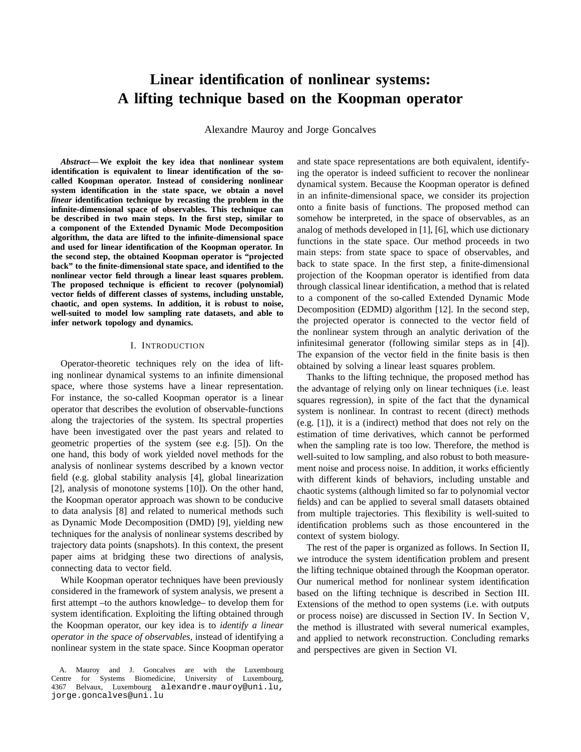# **Linear identification of nonlinear systems: A lifting technique based on the Koopman operator**

Alexandre Mauroy and Jorge Goncalves

*Abstract***— We exploit the key idea that nonlinear system identification is equivalent to linear identification of the socalled Koopman operator. Instead of considering nonlinear system identification in the state space, we obtain a novel** *linear* **identification technique by recasting the problem in the infinite-dimensional space of observables. This technique can be described in two main steps. In the first step, similar to a component of the Extended Dynamic Mode Decomposition algorithm, the data are lifted to the infinite-dimensional space and used for linear identification of the Koopman operator. In the second step, the obtained Koopman operator is "projected back" to the finite-dimensional state space, and identified to the nonlinear vector field through a linear least squares problem. The proposed technique is efficient to recover (polynomial) vector fields of different classes of systems, including unstable, chaotic, and open systems. In addition, it is robust to noise, well-suited to model low sampling rate datasets, and able to infer network topology and dynamics.**

# I. INTRODUCTION

Operator-theoretic techniques rely on the idea of lifting nonlinear dynamical systems to an infinite dimensional space, where those systems have a linear representation. For instance, the so-called Koopman operator is a linear operator that describes the evolution of observable-functions along the trajectories of the system. Its spectral properties have been investigated over the past years and related to geometric properties of the system (see e.g. [5]). On the one hand, this body of work yielded novel methods for the analysis of nonlinear systems described by a known vector field (e.g. global stability analysis [4], global linearization [2], analysis of monotone systems [10]). On the other hand, the Koopman operator approach was shown to be conducive to data analysis [8] and related to numerical methods such as Dynamic Mode Decomposition (DMD) [9], yielding new techniques for the analysis of nonlinear systems described by trajectory data points (snapshots). In this context, the present paper aims at bridging these two directions of analysis, connecting data to vector field.

While Koopman operator techniques have been previously considered in the framework of system analysis, we present a first attempt –to the authors knowledge– to develop them for system identification. Exploiting the lifting obtained through the Koopman operator, our key idea is to *identify a linear operator in the space of observables*, instead of identifying a nonlinear system in the state space. Since Koopman operator

and state space representations are both equivalent, identifying the operator is indeed sufficient to recover the nonlinear dynamical system. Because the Koopman operator is defined in an infinite-dimensional space, we consider its projection onto a finite basis of functions. The proposed method can somehow be interpreted, in the space of observables, as an analog of methods developed in [1], [6], which use dictionary functions in the state space. Our method proceeds in two main steps: from state space to space of observables, and back to state space. In the first step, a finite-dimensional projection of the Koopman operator is identified from data through classical linear identification, a method that is related to a component of the so-called Extended Dynamic Mode Decomposition (EDMD) algorithm [12]. In the second step, the projected operator is connected to the vector field of the nonlinear system through an analytic derivation of the infinitesimal generator (following similar steps as in [4]). The expansion of the vector field in the finite basis is then obtained by solving a linear least squares problem.

Thanks to the lifting technique, the proposed method has the advantage of relying only on linear techniques (i.e. least squares regression), in spite of the fact that the dynamical system is nonlinear. In contrast to recent (direct) methods (e.g. [1]), it is a (indirect) method that does not rely on the estimation of time derivatives, which cannot be performed when the sampling rate is too low. Therefore, the method is well-suited to low sampling, and also robust to both measurement noise and process noise. In addition, it works efficiently with different kinds of behaviors, including unstable and chaotic systems (although limited so far to polynomial vector fields) and can be applied to several small datasets obtained from multiple trajectories. This flexibility is well-suited to identification problems such as those encountered in the context of system biology.

The rest of the paper is organized as follows. In Section II, we introduce the system identification problem and present the lifting technique obtained through the Koopman operator. Our numerical method for nonlinear system identification based on the lifting technique is described in Section III. Extensions of the method to open systems (i.e. with outputs or process noise) are discussed in Section IV. In Section V, the method is illustrated with several numerical examples, and applied to network reconstruction. Concluding remarks and perspectives are given in Section VI.

A. Mauroy and J. Goncalves are with the Luxembourg Centre for Systems Biomedicine, University of Luxembourg, 4367 Belvaux, Luxembourg alexandre.mauroy@uni.lu, jorge.goncalves@uni.lu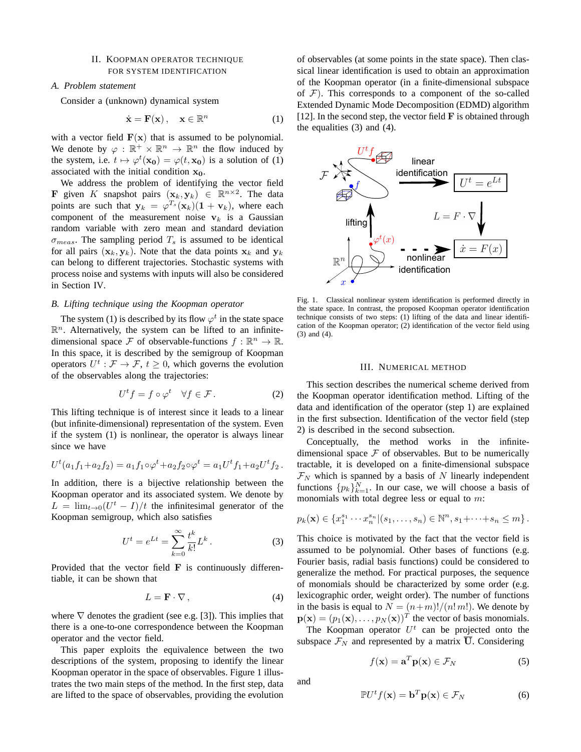# II. KOOPMAN OPERATOR TECHNIQUE FOR SYSTEM IDENTIFICATION

# *A. Problem statement*

Consider a (unknown) dynamical system

$$
\dot{\mathbf{x}} = \mathbf{F}(\mathbf{x}), \quad \mathbf{x} \in \mathbb{R}^n \tag{1}
$$

with a vector field  $F(x)$  that is assumed to be polynomial. We denote by  $\varphi : \mathbb{R}^+ \times \mathbb{R}^n \to \mathbb{R}^n$  the flow induced by the system, i.e.  $t \mapsto \varphi^t(\mathbf{x_0}) = \varphi(t, \mathbf{x_0})$  is a solution of (1) associated with the initial condition  $x_0$ .

We address the problem of identifying the vector field **F** given K snapshot pairs  $(x_k, y_k) \in \mathbb{R}^{n \times 2}$ . The data points are such that  $y_k = \varphi^{T_s}(\mathbf{x}_k)(1 + \mathbf{v}_k)$ , where each component of the measurement noise  $v_k$  is a Gaussian random variable with zero mean and standard deviation  $\sigma_{meas}$ . The sampling period  $T_s$  is assumed to be identical for all pairs  $(x_k, y_k)$ . Note that the data points  $x_k$  and  $y_k$ can belong to different trajectories. Stochastic systems with process noise and systems with inputs will also be considered in Section IV.

# *B. Lifting technique using the Koopman operator*

The system (1) is described by its flow  $\varphi^t$  in the state space  $\mathbb{R}^n$ . Alternatively, the system can be lifted to an infinitedimensional space F of observable-functions  $f : \mathbb{R}^n \to \mathbb{R}$ . In this space, it is described by the semigroup of Koopman operators  $U^t : \mathcal{F} \to \mathcal{F}, t \geq 0$ , which governs the evolution of the observables along the trajectories:

$$
U^t f = f \circ \varphi^t \quad \forall f \in \mathcal{F} \,.
$$
 (2)

This lifting technique is of interest since it leads to a linear (but infinite-dimensional) representation of the system. Even if the system (1) is nonlinear, the operator is always linear since we have

$$
U^{t}(a_{1}f_{1}+a_{2}f_{2})=a_{1}f_{1}\circ\varphi^{t}+a_{2}f_{2}\circ\varphi^{t}=a_{1}U^{t}f_{1}+a_{2}U^{t}f_{2}.
$$

In addition, there is a bijective relationship between the Koopman operator and its associated system. We denote by  $L = \lim_{t\to 0} (U^t - I)/t$  the infinitesimal generator of the Koopman semigroup, which also satisfies

$$
U^t = e^{Lt} = \sum_{k=0}^{\infty} \frac{t^k}{k!} L^k.
$$
 (3)

Provided that the vector field  $\bf{F}$  is continuously differentiable, it can be shown that

$$
L = \mathbf{F} \cdot \nabla, \tag{4}
$$

where  $\nabla$  denotes the gradient (see e.g. [3]). This implies that there is a one-to-one correspondence between the Koopman operator and the vector field.

This paper exploits the equivalence between the two descriptions of the system, proposing to identify the linear Koopman operator in the space of observables. Figure 1 illustrates the two main steps of the method. In the first step, data are lifted to the space of observables, providing the evolution of observables (at some points in the state space). Then classical linear identification is used to obtain an approximation of the Koopman operator (in a finite-dimensional subspace of  $F$ ). This corresponds to a component of the so-called Extended Dynamic Mode Decomposition (EDMD) algorithm [12]. In the second step, the vector field  $\bf{F}$  is obtained through the equalities (3) and (4).



Fig. 1. Classical nonlinear system identification is performed directly in the state space. In contrast, the proposed Koopman operator identification technique consists of two steps: (1) lifting of the data and linear identification of the Koopman operator; (2) identification of the vector field using (3) and (4).

#### III. NUMERICAL METHOD

This section describes the numerical scheme derived from the Koopman operator identification method. Lifting of the data and identification of the operator (step 1) are explained in the first subsection. Identification of the vector field (step 2) is described in the second subsection.

Conceptually, the method works in the infinitedimensional space  $F$  of observables. But to be numerically tractable, it is developed on a finite-dimensional subspace  $\mathcal{F}_N$  which is spanned by a basis of N linearly independent functions  $\{p_k\}_{k=1}^N$ . In our case, we will choose a basis of monomials with total degree less or equal to  $m$ :

$$
p_k(\mathbf{x}) \in \{x_1^{s_1} \cdots x_n^{s_n} | (s_1, \ldots, s_n) \in \mathbb{N}^n, s_1 + \cdots + s_n \leq m\}.
$$

This choice is motivated by the fact that the vector field is assumed to be polynomial. Other bases of functions (e.g. Fourier basis, radial basis functions) could be considered to generalize the method. For practical purposes, the sequence of monomials should be characterized by some order (e.g. lexicographic order, weight order). The number of functions in the basis is equal to  $N = (n+m)!/(n! m!)$ . We denote by  $\mathbf{p}(\mathbf{x}) = (p_1(\mathbf{x}), \dots, p_N(\mathbf{x}))^T$  the vector of basis monomials.

The Koopman operator  $U^t$  can be projected onto the subspace  $\mathcal{F}_N$  and represented by a matrix  $\overline{U}$ . Considering

$$
f(\mathbf{x}) = \mathbf{a}^T \mathbf{p}(\mathbf{x}) \in \mathcal{F}_N \tag{5}
$$

and

$$
\mathbb{P}U^t f(\mathbf{x}) = \mathbf{b}^T \mathbf{p}(\mathbf{x}) \in \mathcal{F}_N
$$
 (6)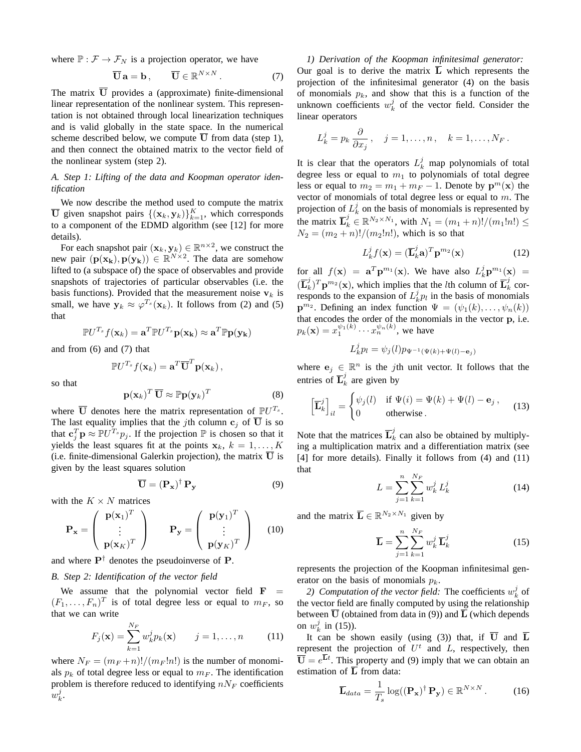where  $\mathbb{P}: \mathcal{F} \to \mathcal{F}_N$  is a projection operator, we have

$$
\overline{\mathbf{U}}\,\mathbf{a}=\mathbf{b}\,,\qquad\overline{\mathbf{U}}\in\mathbb{R}^{N\times N}\,.\tag{7}
$$

The matrix  $\overline{U}$  provides a (approximate) finite-dimensional linear representation of the nonlinear system. This representation is not obtained through local linearization techniques and is valid globally in the state space. In the numerical scheme described below, we compute  $\overline{U}$  from data (step 1), and then connect the obtained matrix to the vector field of the nonlinear system (step 2).

# *A. Step 1: Lifting of the data and Koopman operator identification*

We now describe the method used to compute the matrix  $\overline{\mathbf{U}}$  given snapshot pairs  $\{(\mathbf{x}_k, \mathbf{y}_k)\}_{k=1}^K$ , which corresponds to a component of the EDMD algorithm (see [12] for more details).

For each snapshot pair  $(\mathbf{x}_k, \mathbf{y}_k) \in \mathbb{R}^{n \times 2}$ , we construct the new pair  $(p(x_k), p(y_k)) \in \mathbb{R}^{N \times 2}$ . The data are somehow lifted to (a subspace of) the space of observables and provide snapshots of trajectories of particular observables (i.e. the basis functions). Provided that the measurement noise  $v_k$  is small, we have  $y_k \approx \varphi^{T_s}(\mathbf{x}_k)$ . It follows from (2) and (5) that

$$
\mathbb{P}U^{T_s}f(\mathbf{x}_k) = \mathbf{a}^T \mathbb{P}U^{T_s}\mathbf{p}(\mathbf{x_k}) \approx \mathbf{a}^T \mathbb{P}\mathbf{p}(\mathbf{y_k})
$$

and from (6) and (7) that

$$
\mathbb{P}U^{T_s}f(\mathbf{x}_k) = \mathbf{a}^T\overline{\mathbf{U}}^T\mathbf{p}(\mathbf{x}_k),
$$

so that

$$
\mathbf{p}(\mathbf{x}_k)^T \overline{\mathbf{U}} \approx \mathbb{P} \mathbf{p}(\mathbf{y}_k)^T
$$
 (8)

where  $\overline{U}$  denotes here the matrix representation of  $\mathbb{P}U^{T_s}$ . The last equality implies that the jth column  $c_i$  of  $\overline{U}$  is so that  $\mathbf{c}_j^T \mathbf{p} \approx \mathbb{P} U^{T_s} p_j$ . If the projection  $\mathbb P$  is chosen so that it yields the least squares fit at the points  $x_k$ ,  $k = 1, \ldots, K$ (i.e. finite-dimensional Galerkin projection), the matrix  $\overline{U}$  is given by the least squares solution

$$
\overline{\mathbf{U}} = (\mathbf{P}_{\mathbf{x}})^{\dagger} \mathbf{P}_{\mathbf{y}} \tag{9}
$$

with the  $K \times N$  matrices

$$
\mathbf{P}_{\mathbf{x}} = \begin{pmatrix} \mathbf{p}(\mathbf{x}_1)^T \\ \vdots \\ \mathbf{p}(\mathbf{x}_K)^T \end{pmatrix} \qquad \mathbf{P}_{\mathbf{y}} = \begin{pmatrix} \mathbf{p}(\mathbf{y}_1)^T \\ \vdots \\ \mathbf{p}(\mathbf{y}_K)^T \end{pmatrix} \tag{10}
$$

and where  $P^{\dagger}$  denotes the pseudoinverse of P.

# *B. Step 2: Identification of the vector field*

We assume that the polynomial vector field  $\mathbf{F}$  =  $(F_1, \ldots, F_n)^T$  is of total degree less or equal to  $m_F$ , so that we can write

$$
F_j(\mathbf{x}) = \sum_{k=1}^{N_F} w_k^j p_k(\mathbf{x}) \qquad j = 1, \dots, n \tag{11}
$$

where  $N_F = (m_F + n)!/(m_F! n!)$  is the number of monomials  $p_k$  of total degree less or equal to  $m_F$ . The identification problem is therefore reduced to identifying  $nN_F$  coefficients  $w_k^j$ .

*1) Derivation of the Koopman infinitesimal generator:* Our goal is to derive the matrix  $\overline{L}$  which represents the projection of the infinitesimal generator (4) on the basis of monomials  $p_k$ , and show that this is a function of the unknown coefficients  $w_k^j$  of the vector field. Consider the linear operators

$$
L_k^j = p_k \frac{\partial}{\partial x_j}, \quad j = 1, \dots, n, \quad k = 1, \dots, N_F.
$$

It is clear that the operators  $L_k^j$  map polynomials of total degree less or equal to  $m_1$  to polynomials of total degree less or equal to  $m_2 = m_1 + m_F - 1$ . Denote by  $\mathbf{p}^m(\mathbf{x})$  the vector of monomials of total degree less or equal to m. The projection of  $L_k^j$  on the basis of monomials is represented by the matrix  $\overline{\mathbf{L}}_k^j \in \mathbb{R}^{N_2 \times N_1}$ , with  $N_1 = \frac{m_1 + n}{N_1 + n}$  $N_2 = (m_2 + n)!/(m_2!n!)$ , which is so that

$$
L_k^j f(\mathbf{x}) = (\overline{\mathbf{L}}_k^j \mathbf{a})^T \mathbf{p}^{m_2}(\mathbf{x})
$$
 (12)

for all  $f(\mathbf{x}) = \mathbf{a}^T \mathbf{p}^{m_1}(\mathbf{x})$ . We have also  $L_k^j \mathbf{p}^{m_1}(\mathbf{x}) =$  $(\overline{\mathbf{L}}_k^j$  $k^j$ )<sup>T</sup> **p**<sup>*m*<sub>2</sub></sup>(**x**), which implies that the *l*th column of  $\overline{\mathbf{L}}_k^j$  $\frac{J}{k}$  corresponds to the expansion of  $L_k^j p_l$  in the basis of monomials  $\mathbf{p}^{m_2}$ . Defining an index function  $\Psi = (\psi_1(k), \dots, \psi_n(k))$ that encodes the order of the monomials in the vector p, i.e.  $p_k(\mathbf{x}) = x_1^{\psi_1(k)} \cdots x_n^{\psi_n(k)}$ , we have

$$
L_k^j p_l = \psi_j(l) p_{\Psi^{-1}(\Psi(k) + \Psi(l) - \mathbf{e}_j)}
$$

where  $e_j \in \mathbb{R}^n$  is the *j*th unit vector. It follows that the entries of  $\overline{\mathbf{L}}_k^j$  $\frac{1}{k}$  are given by

$$
\left[\overline{\mathbf{L}}_k^j\right]_{il} = \begin{cases} \psi_j(l) & \text{if } \Psi(i) = \Psi(k) + \Psi(l) - \mathbf{e}_j, \\ 0 & \text{otherwise.} \end{cases}
$$
 (13)

Note that the matrices  $\overline{\mathbf{L}}_k^j$  $\frac{1}{k}$  can also be obtained by multiplying a multiplication matrix and a differentiation matrix (see [4] for more details). Finally it follows from (4) and (11) that

$$
L = \sum_{j=1}^{n} \sum_{k=1}^{N_F} w_k^j L_k^j
$$
 (14)

and the matrix  $\overline{\mathbf{L}} \in \mathbb{R}^{N_2 \times N_1}$  given by

$$
\overline{\mathbf{L}} = \sum_{j=1}^{n} \sum_{k=1}^{N_F} w_k^j \, \overline{\mathbf{L}}_k^j \tag{15}
$$

represents the projection of the Koopman infinitesimal generator on the basis of monomials  $p_k$ .

2) Computation of the vector field: The coefficients  $w_k^j$  of the vector field are finally computed by using the relationship between  $\overline{U}$  (obtained from data in (9)) and  $\overline{L}$  (which depends on  $w_k^j$  in (15)).

It can be shown easily (using (3)) that, if  $\overline{U}$  and  $\overline{L}$ represent the projection of  $U^t$  and  $L$ , respectively, then  $\overline{\mathbf{U}} = e^{\mathbf{L}t}$ . This property and (9) imply that we can obtain an estimation of  $\overline{L}$  from data:

$$
\overline{\mathbf{L}}_{data} = \frac{1}{T_s} \log((\mathbf{P_x})^{\dagger} \mathbf{P_y}) \in \mathbb{R}^{N \times N} . \tag{16}
$$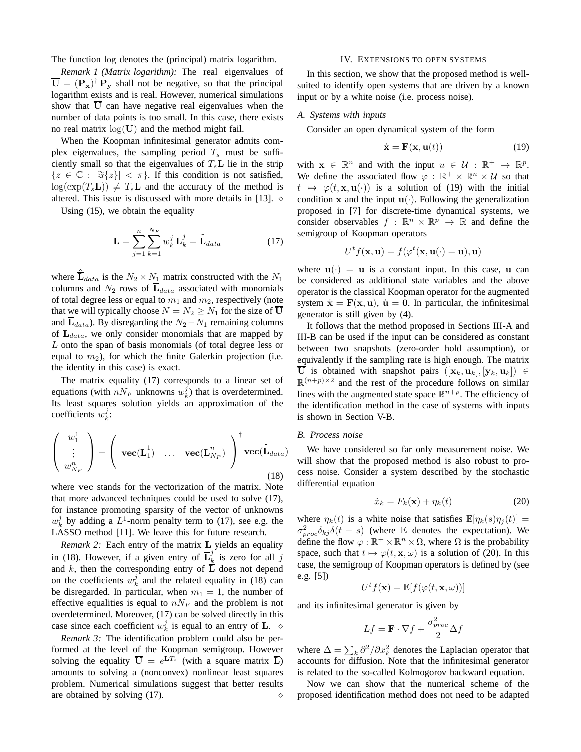The function log denotes the (principal) matrix logarithm.

*Remark 1 (Matrix logarithm):* The real eigenvalues of  $\overline{U} = (P_x)^{\dagger} P_y$  shall not be negative, so that the principal logarithm exists and is real. However, numerical simulations show that  $\overline{U}$  can have negative real eigenvalues when the number of data points is too small. In this case, there exists no real matrix  $\log(\overline{U})$  and the method might fail.

When the Koopman infinitesimal generator admits complex eigenvalues, the sampling period  $T_s$  must be sufficiently small so that the eigenvalues of  $T_s\overline{\mathbf{L}}$  lie in the strip  $\{z \in \mathbb{C} : |\Im\{z\}| < \pi\}.$  If this condition is not satisfied,  $\log(\exp(T_s\overline{\mathbf{L}})) \neq T_s\overline{\mathbf{L}}$  and the accuracy of the method is altered. This issue is discussed with more details in [13].  $\diamond$ 

Using (15), we obtain the equality

$$
\overline{\mathbf{L}} = \sum_{j=1}^{n} \sum_{k=1}^{N_F} w_k^j \, \overline{\mathbf{L}}_k^j = \hat{\overline{\mathbf{L}}}_{data} \tag{17}
$$

where  $\mathbf{\overline{L}}_{data}$  is the  $N_2 \times N_1$  matrix constructed with the  $N_1$ columns and  $N_2$  rows of  $\overline{\mathbf{L}}_{data}$  associated with monomials of total degree less or equal to  $m_1$  and  $m_2$ , respectively (note that we will typically choose  $N = N_2 \ge N_1$  for the size of  $\overline{U}$ and  $\overline{\mathbf{L}}_{data}$ ). By disregarding the  $N_2-N_1$  remaining columns of  $\overline{\mathbf{L}}_{data}$ , we only consider monomials that are mapped by L onto the span of basis monomials (of total degree less or equal to  $m_2$ ), for which the finite Galerkin projection (i.e. the identity in this case) is exact.

The matrix equality (17) corresponds to a linear set of equations (with  $nN_F$  unknowns  $w_k^j$ ) that is overdetermined. Its least squares solution yields an approximation of the coefficients  $w_k^j$ :

$$
\begin{pmatrix} w_1^1 \\ \vdots \\ w_{N_F}^n \end{pmatrix} = \begin{pmatrix} | & & | \\ \mathbf{vec}(\overline{\mathbf{L}}_1^1) & \dots & \mathbf{vec}(\overline{\mathbf{L}}_{N_F}^n) \end{pmatrix}^\dagger \mathbf{vec}(\hat{\overline{\mathbf{L}}}_{data})
$$
(18)

where vec stands for the vectorization of the matrix. Note that more advanced techniques could be used to solve (17), for instance promoting sparsity of the vector of unknowns  $w_k^j$  by adding a  $L^1$ -norm penalty term to (17), see e.g. the LASSO method [11]. We leave this for future research.

*Remark 2:* Each entry of the matrix  $\overline{L}$  yields an equality in (18). However, if a given entry of  $\overline{\mathbf{L}}_k^j$  $\frac{J}{k}$  is zero for all j and  $k$ , then the corresponding entry of  $\overline{L}$  does not depend on the coefficients  $w_k^j$  and the related equality in (18) can be disregarded. In particular, when  $m_1 = 1$ , the number of effective equalities is equal to  $nN_F$  and the problem is not overdetermined. Moreover, (17) can be solved directly in this case since each coefficient  $w_k^j$  is equal to an entry of  $\overline{L}$ .  $\diamond$ 

*Remark 3:* The identification problem could also be performed at the level of the Koopman semigroup. However solving the equality  $\overline{U} = e^{LT_s}$  (with a square matrix  $\overline{L}$ ) amounts to solving a (nonconvex) nonlinear least squares problem. Numerical simulations suggest that better results are obtained by solving (17).  $\Diamond$ 

#### IV. EXTENSIONS TO OPEN SYSTEMS

In this section, we show that the proposed method is wellsuited to identify open systems that are driven by a known input or by a white noise (i.e. process noise).

# *A. Systems with inputs*

Consider an open dynamical system of the form

$$
\dot{\mathbf{x}} = \mathbf{F}(\mathbf{x}, \mathbf{u}(t)) \tag{19}
$$

with  $\mathbf{x} \in \mathbb{R}^n$  and with the input  $u \in \mathcal{U} : \mathbb{R}^+ \to \mathbb{R}^p$ . We define the associated flow  $\varphi : \mathbb{R}^+ \times \mathbb{R}^n \times U$  so that  $t \mapsto \varphi(t, \mathbf{x}, \mathbf{u}(\cdot))$  is a solution of (19) with the initial condition x and the input  $\mathbf{u}(\cdot)$ . Following the generalization proposed in [7] for discrete-time dynamical systems, we consider observables  $f : \mathbb{R}^n \times \mathbb{R}^p \to \mathbb{R}$  and define the semigroup of Koopman operators

$$
U^t f(\mathbf{x}, \mathbf{u}) = f(\varphi^t(\mathbf{x}, \mathbf{u}(\cdot) = \mathbf{u}), \mathbf{u})
$$

where  $u(\cdot) = u$  is a constant input. In this case, u can be considered as additional state variables and the above operator is the classical Koopman operator for the augmented system  $\dot{\mathbf{x}} = \mathbf{F}(\mathbf{x}, \mathbf{u})$ ,  $\dot{\mathbf{u}} = \mathbf{0}$ . In particular, the infinitesimal generator is still given by (4).

It follows that the method proposed in Sections III-A and III-B can be used if the input can be considered as constant between two snapshots (zero-order hold assumption), or equivalently if the sampling rate is high enough. The matrix  $\overline{\mathbf{U}}$  is obtained with snapshot pairs  $([\mathbf{x}_k, \mathbf{u}_k], [\mathbf{y}_k, \mathbf{u}_k]) \in$  $\mathbb{R}^{(n+p)\times 2}$  and the rest of the procedure follows on similar lines with the augmented state space  $\mathbb{R}^{n+p}$ . The efficiency of the identification method in the case of systems with inputs is shown in Section V-B.

# *B. Process noise*

We have considered so far only measurement noise. We will show that the proposed method is also robust to process noise. Consider a system described by the stochastic differential equation

$$
\dot{x}_k = F_k(\mathbf{x}) + \eta_k(t) \tag{20}
$$

where  $\eta_k(t)$  is a white noise that satisfies  $\mathbb{E}[\eta_k(s)\eta_i(t)] =$  $\sigma_{proc}^2 \delta_{kj} \delta(t-s)$  (where E denotes the expectation). We define the flow  $\varphi : \mathbb{R}^+ \times \mathbb{R}^n \times \Omega$ , where  $\Omega$  is the probability space, such that  $t \mapsto \varphi(t, \mathbf{x}, \omega)$  is a solution of (20). In this case, the semigroup of Koopman operators is defined by (see e.g. [5])

$$
U^t f(\mathbf{x}) = \mathbb{E}[f(\varphi(t, \mathbf{x}, \omega))]
$$

and its infinitesimal generator is given by

$$
Lf = \mathbf{F} \cdot \nabla f + \frac{\sigma_{proc}^2}{2} \Delta f
$$

where  $\Delta = \sum_{k} \partial^2 / \partial x_k^2$  denotes the Laplacian operator that accounts for diffusion. Note that the infinitesimal generator is related to the so-called Kolmogorov backward equation.

Now we can show that the numerical scheme of the proposed identification method does not need to be adapted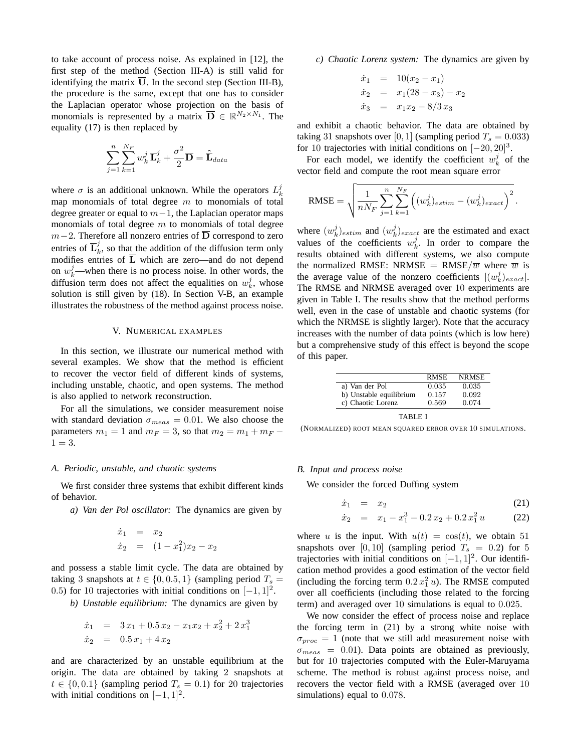to take account of process noise. As explained in [12], the first step of the method (Section III-A) is still valid for identifying the matrix  $\overline{U}$ . In the second step (Section III-B), the procedure is the same, except that one has to consider the Laplacian operator whose projection on the basis of monomials is represented by a matrix  $\overline{\mathbf{D}} \in \mathbb{R}^{N_2 \times N_1}$ . The equality (17) is then replaced by

$$
\sum_{j=1}^{n}\sum_{k=1}^{N_{F}}w_{k}^{j}\,\overline{\mathbf{L}}_{k}^{j}+\frac{\sigma^{2}}{2}\overline{\mathbf{D}}=\hat{\overline{\mathbf{L}}}_{data}
$$

where  $\sigma$  is an additional unknown. While the operators  $L_k^j$ map monomials of total degree  $m$  to monomials of total degree greater or equal to  $m-1$ , the Laplacian operator maps monomials of total degree  $m$  to monomials of total degree  $m-2$ . Therefore all nonzero entries of  $\overline{D}$  correspond to zero entries of  $\overline{\mathbf{L}}_k^j$  $\psi_k$ , so that the addition of the diffusion term only modifies entries of  $\overline{L}$  which are zero—and do not depend on  $w_k^j$ —when there is no process noise. In other words, the diffusion term does not affect the equalities on  $w_k^j$ , whose solution is still given by (18). In Section V-B, an example illustrates the robustness of the method against process noise.

# V. NUMERICAL EXAMPLES

In this section, we illustrate our numerical method with several examples. We show that the method is efficient to recover the vector field of different kinds of systems, including unstable, chaotic, and open systems. The method is also applied to network reconstruction.

For all the simulations, we consider measurement noise with standard deviation  $\sigma_{meas} = 0.01$ . We also choose the parameters  $m_1 = 1$  and  $m_F = 3$ , so that  $m_2 = m_1 + m_F$  –  $1 = 3.$ 

# *A. Periodic, unstable, and chaotic systems*

We first consider three systems that exhibit different kinds of behavior.

*a) Van der Pol oscillator:* The dynamics are given by

$$
\begin{array}{rcl}\n\dot{x}_1 &=& x_2 \\
\dot{x}_2 &=& (1-x_1^2)x_2 - x_2\n\end{array}
$$

and possess a stable limit cycle. The data are obtained by taking 3 snapshots at  $t \in \{0, 0.5, 1\}$  (sampling period  $T_s =$ 0.5) for 10 trajectories with initial conditions on  $[-1, 1]^2$ .

*b) Unstable equilibrium:* The dynamics are given by

$$
\dot{x}_1 = 3x_1 + 0.5x_2 - x_1x_2 + x_2^2 + 2x_1^3
$$
  

$$
\dot{x}_2 = 0.5x_1 + 4x_2
$$

and are characterized by an unstable equilibrium at the origin. The data are obtained by taking 2 snapshots at  $t \in \{0, 0.1\}$  (sampling period  $T_s = 0.1$ ) for 20 trajectories with initial conditions on  $[-1, 1]^2$ .

*c) Chaotic Lorenz system:* The dynamics are given by

$$
\dot{x}_1 = 10(x_2 - x_1)
$$
  
\n
$$
\dot{x}_2 = x_1(28 - x_3) - x_2
$$
  
\n
$$
\dot{x}_3 = x_1x_2 - 8/3x_3
$$

and exhibit a chaotic behavior. The data are obtained by taking 31 snapshots over [0, 1] (sampling period  $T_s = 0.033$ ) for 10 trajectories with initial conditions on  $[-20, 20]^3$ .

For each model, we identify the coefficient  $w_k^j$  of the vector field and compute the root mean square error

$$
\text{RMSE} = \sqrt{\frac{1}{nN_F} \sum_{j=1}^{n} \sum_{k=1}^{N_F} \left( (w_k^j)_{estim} - (w_k^j)_{exact} \right)^2}.
$$

where  $(w_k^j)_{estim}$  and  $(w_k^j)_{exact}$  are the estimated and exact values of the coefficients  $w_k^j$ . In order to compare the results obtained with different systems, we also compute the normalized RMSE: NRMSE = RMSE/ $\overline{w}$  where  $\overline{w}$  is the average value of the nonzero coefficients  $|(w_k^j)_{exact}|$ . The RMSE and NRMSE averaged over 10 experiments are given in Table I. The results show that the method performs well, even in the case of unstable and chaotic systems (for which the NRMSE is slightly larger). Note that the accuracy increases with the number of data points (which is low here) but a comprehensive study of this effect is beyond the scope of this paper.

|                         | <b>RMSE</b> | <b>NRMSE</b> |
|-------------------------|-------------|--------------|
| a) Van der Pol          | 0.035       | 0.035        |
| b) Unstable equilibrium | 0.157       | 0.092        |
| c) Chaotic Lorenz       | 0.569       | 0.074        |

TABLE I

(NORMALIZED) ROOT MEAN SQUARED ERROR OVER 10 SIMULATIONS.

#### *B. Input and process noise*

We consider the forced Duffing system

$$
\dot{x}_1 = x_2 \tag{21}
$$

$$
\dot{x}_2 = x_1 - x_1^3 - 0.2x_2 + 0.2x_1^2 u \tag{22}
$$

where u is the input. With  $u(t) = \cos(t)$ , we obtain 51 snapshots over [0, 10] (sampling period  $T_s = 0.2$ ) for 5 trajectories with initial conditions on  $[-1, 1]^2$ . Our identification method provides a good estimation of the vector field (including the forcing term  $0.2 x_1^2 u$ ). The RMSE computed over all coefficients (including those related to the forcing term) and averaged over 10 simulations is equal to 0.025.

We now consider the effect of process noise and replace the forcing term in (21) by a strong white noise with  $\sigma_{\text{proc}} = 1$  (note that we still add measurement noise with  $\sigma_{meas}$  = 0.01). Data points are obtained as previously, but for 10 trajectories computed with the Euler-Maruyama scheme. The method is robust against process noise, and recovers the vector field with a RMSE (averaged over 10 simulations) equal to 0.078.